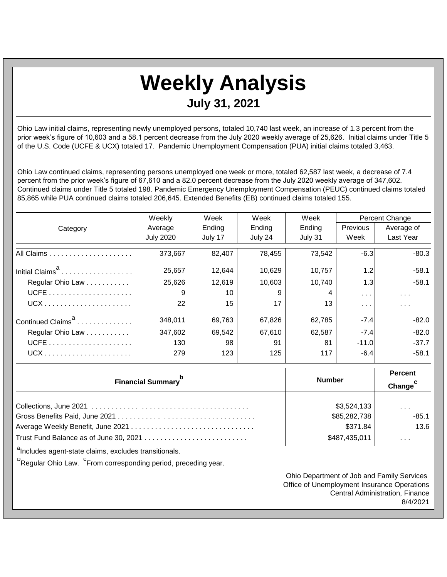## **Weekly Analysis July 31, 2021**

Ohio Law initial claims, representing newly unemployed persons, totaled 10,740 last week, an increase of 1.3 percent from the prior week's figure of 10,603 and a 58.1 percent decrease from the July 2020 weekly average of 25,626. Initial claims under Title 5 of the U.S. Code (UCFE & UCX) totaled 17. Pandemic Unemployment Compensation (PUA) initial claims totaled 3,463.

Ohio Law continued claims, representing persons unemployed one week or more, totaled 62,587 last week, a decrease of 7.4 percent from the prior week's figure of 67,610 and a 82.0 percent decrease from the July 2020 weekly average of 347,602. Continued claims under Title 5 totaled 198. Pandemic Emergency Unemployment Compensation (PEUC) continued claims totaled 85,865 while PUA continued claims totaled 206,645. Extended Benefits (EB) continued claims totaled 155.

|                               | Weekly           | Week    | Week    | Week    | <b>Percent Change</b> |                      |
|-------------------------------|------------------|---------|---------|---------|-----------------------|----------------------|
| Category                      | Average          | Ending  | Ending  | Ending  | Previous              | Average of           |
|                               | <b>July 2020</b> | July 17 | July 24 | July 31 | Week                  | <b>Last Year</b>     |
|                               | 373,667          | 82,407  | 78,455  | 73,542  | $-6.3$                | $-80.3$              |
| Initial Claims <sup>a</sup>   | 25,657           | 12,644  | 10,629  | 10,757  | 1.2                   | $-58.1$              |
| Regular Ohio Law              | 25,626           | 12,619  | 10,603  | 10,740  | 1.3                   | $-58.1$              |
|                               | 9                | 10      | 9       |         | $\sim$ $\sim$         | $\sim$ $\sim$ $\sim$ |
|                               | 22               | 15      | 17      | 13      | $\cdots$              | .                    |
| Continued Claims <sup>a</sup> | 348,011          | 69,763  | 67,826  | 62,785  | $-7.4$                | $-82.0$              |
| Regular Ohio Law              | 347,602          | 69,542  | 67,610  | 62,587  | $-7.4$                | $-82.0$              |
|                               | 130              | 98      | 91      | 81      | $-11.0$               | $-37.7$              |
| $UCX$                         | 279              | 123     | 125     | 117     | $-6.4$                | $-58.1$              |

| <b>Financial Summary</b> <sup>p</sup> | <b>Number</b> | <b>Percent</b><br>Change <sup>c</sup> |
|---------------------------------------|---------------|---------------------------------------|
|                                       |               |                                       |
|                                       | \$3,524,133   | $\cdot$ $\cdot$ $\cdot$               |
|                                       | \$85,282,738  | $-85.1$                               |
|                                       | \$371.84      | 13.6                                  |
|                                       | \$487,435,011 | $\cdots$                              |

<sup>a</sup>Includes agent-state claims, excludes transitionals.

<sup>b</sup>Regular Ohio Law. <sup>C</sup>From corresponding period, preceding year.

Ohio Department of Job and Family Services Office of Unemployment Insurance Operations Central Administration, Finance 8/4/2021